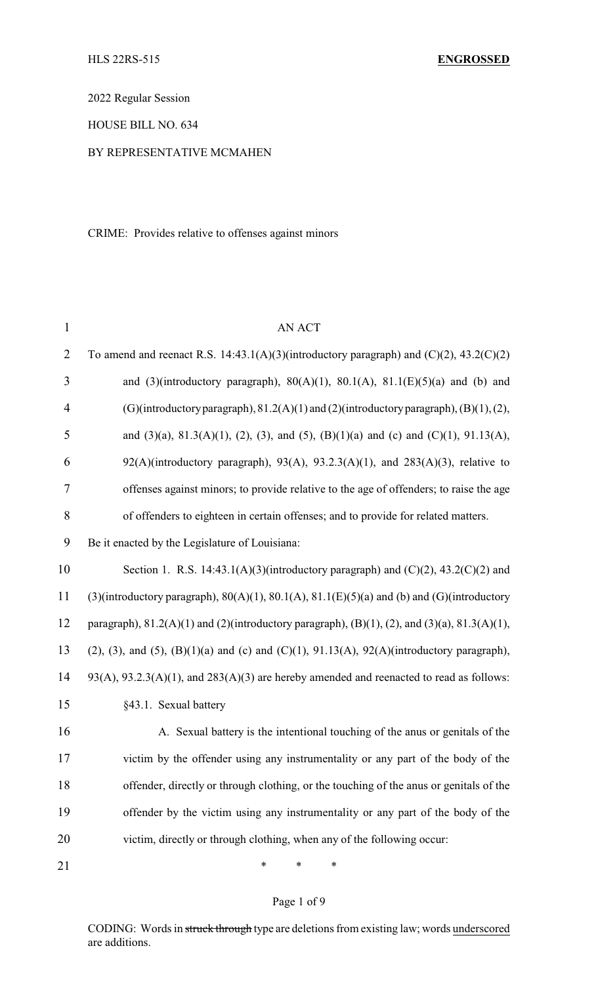2022 Regular Session

HOUSE BILL NO. 634

## BY REPRESENTATIVE MCMAHEN

CRIME: Provides relative to offenses against minors

| $\mathbf{1}$   | <b>AN ACT</b>                                                                                                   |
|----------------|-----------------------------------------------------------------------------------------------------------------|
| $\overline{2}$ | To amend and reenact R.S. 14:43.1(A)(3)(introductory paragraph) and $(C)(2)$ , 43.2(C)(2)                       |
| 3              | and (3)(introductory paragraph), $80(A)(1)$ , $80.1(A)$ , $81.1(E)(5)(a)$ and (b) and                           |
| $\overline{4}$ | (G)(introductory paragraph), $81.2(A)(1)$ and $(2)$ (introductory paragraph), $(B)(1)$ , $(2)$ ,                |
| 5              | and (3)(a), 81.3(A)(1), (2), (3), and (5), (B)(1)(a) and (c) and (C)(1), 91.13(A),                              |
| 6              | $92(A)$ (introductory paragraph), $93(A)$ , $93.2.3(A)(1)$ , and $283(A)(3)$ , relative to                      |
| 7              | offenses against minors; to provide relative to the age of offenders; to raise the age                          |
| 8              | of offenders to eighteen in certain offenses; and to provide for related matters.                               |
| 9              | Be it enacted by the Legislature of Louisiana:                                                                  |
| 10             | Section 1. R.S. 14:43.1(A)(3)(introductory paragraph) and $(C)(2)$ , 43.2(C)(2) and                             |
| 11             | (3)(introductory paragraph), $80(A)(1)$ , $80.1(A)$ , $81.1(E)(5)(a)$ and (b) and (G)(introductory              |
| 12             | paragraph), $81.2(A)(1)$ and $(2)$ (introductory paragraph), $(B)(1)$ , $(2)$ , and $(3)(a)$ , $81.3(A)(1)$ ,   |
| 13             | $(2)$ , $(3)$ , and $(5)$ , $(B)(1)(a)$ and $(c)$ and $(C)(1)$ , $91.13(A)$ , $92(A)(introductory paragraph)$ , |
| 14             | $93(A), 93.2.3(A)(1),$ and $283(A)(3)$ are hereby amended and reenacted to read as follows:                     |
| 15             | §43.1. Sexual battery                                                                                           |
| 16             | A. Sexual battery is the intentional touching of the anus or genitals of the                                    |
| 17             | victim by the offender using any instrumentality or any part of the body of the                                 |
| 18             | offender, directly or through clothing, or the touching of the anus or genitals of the                          |
| 19             | offender by the victim using any instrumentality or any part of the body of the                                 |
| 20             | victim, directly or through clothing, when any of the following occur:                                          |
| 21             | ∗<br>∗<br>∗                                                                                                     |

# Page 1 of 9

CODING: Words in struck through type are deletions from existing law; words underscored are additions.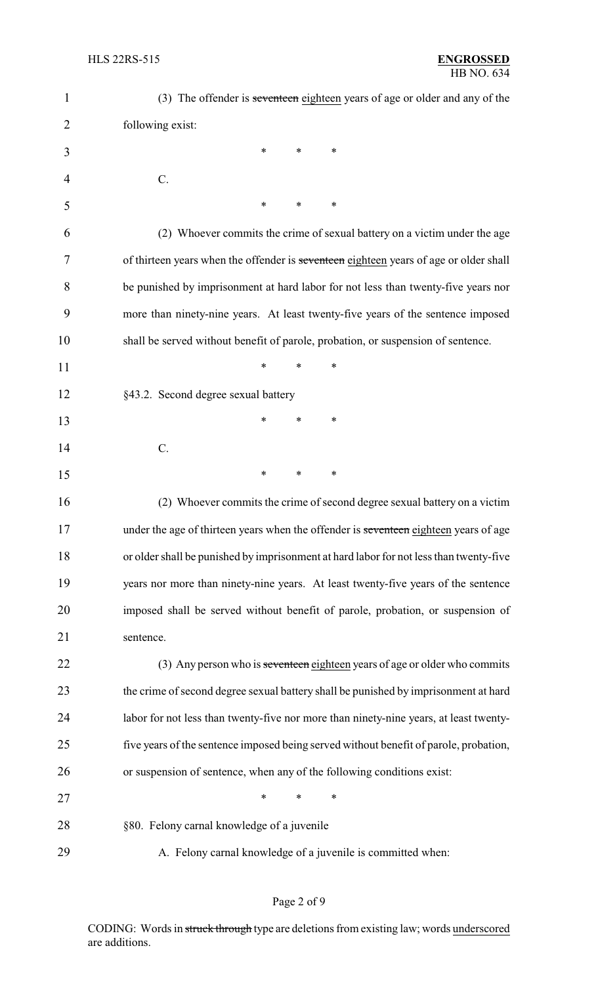| $\mathbf{1}$   | (3) The offender is seventeen eighteen years of age or older and any of the            |
|----------------|----------------------------------------------------------------------------------------|
| $\overline{2}$ | following exist:                                                                       |
| 3              | ∗<br>∗<br>∗                                                                            |
| 4              | $C$ .                                                                                  |
| 5              | ∗<br>*<br>∗                                                                            |
| 6              | (2) Whoever commits the crime of sexual battery on a victim under the age              |
| 7              | of thirteen years when the offender is seventeen eighteen years of age or older shall  |
| 8              | be punished by imprisonment at hard labor for not less than twenty-five years nor      |
| 9              | more than ninety-nine years. At least twenty-five years of the sentence imposed        |
| 10             | shall be served without benefit of parole, probation, or suspension of sentence.       |
| 11             | *<br>*<br>∗                                                                            |
| 12             | §43.2. Second degree sexual battery                                                    |
| 13             | *<br>*<br>∗                                                                            |
| 14             | C.                                                                                     |
| 15             | $\ast$<br>∗<br>∗                                                                       |
| 16             | (2) Whoever commits the crime of second degree sexual battery on a victim              |
| 17             | under the age of thirteen years when the offender is seventeen eighteen years of age   |
| 18             | or older shall be punished by imprisonment at hard labor for not less than twenty-five |
| 19             | years nor more than ninety-nine years. At least twenty-five years of the sentence      |
| 20             | imposed shall be served without benefit of parole, probation, or suspension of         |
| 21             | sentence.                                                                              |
| 22             | (3) Any person who is seventeen eighteen years of age or older who commits             |
| 23             | the crime of second degree sexual battery shall be punished by imprisonment at hard    |
| 24             | labor for not less than twenty-five nor more than ninety-nine years, at least twenty-  |
| 25             | five years of the sentence imposed being served without benefit of parole, probation,  |
| 26             | or suspension of sentence, when any of the following conditions exist:                 |
| 27             | ∗<br>*<br>∗                                                                            |
| 28             | §80. Felony carnal knowledge of a juvenile                                             |
| 29             | A. Felony carnal knowledge of a juvenile is committed when:                            |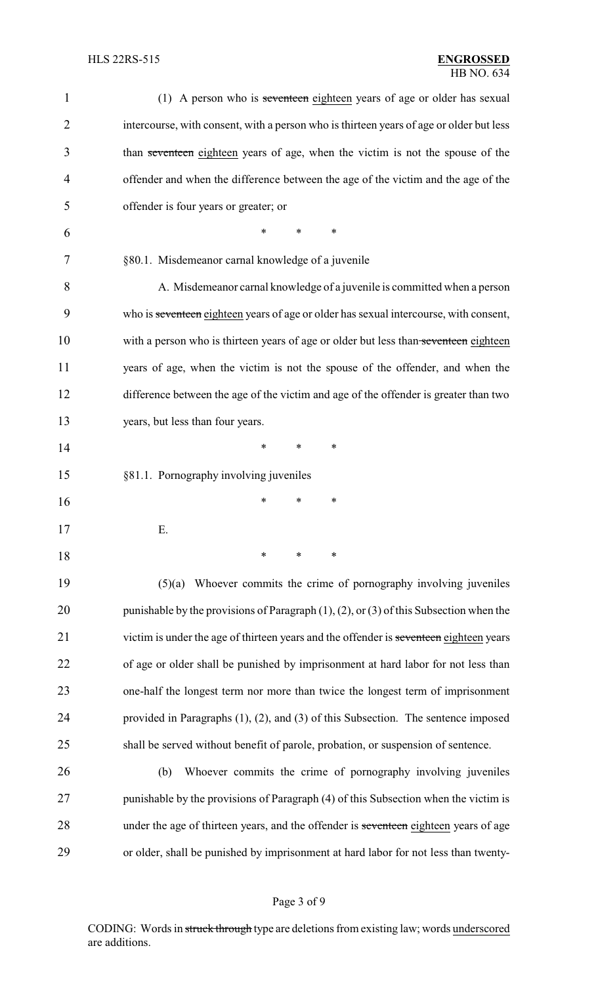| $\mathbf{1}$   | (1) A person who is seventeen eighteen years of age or older has sexual                        |
|----------------|------------------------------------------------------------------------------------------------|
| $\overline{2}$ | intercourse, with consent, with a person who is thirteen years of age or older but less        |
| 3              | than seventeen eighteen years of age, when the victim is not the spouse of the                 |
| $\overline{4}$ | offender and when the difference between the age of the victim and the age of the              |
| 5              | offender is four years or greater; or                                                          |
| 6              | *<br>*<br>*                                                                                    |
| 7              | §80.1. Misdemeanor carnal knowledge of a juvenile                                              |
| 8              | A. Misdemeanor carnal knowledge of a juvenile is committed when a person                       |
| 9              | who is seventeen eighteen years of age or older has sexual intercourse, with consent,          |
| 10             | with a person who is thirteen years of age or older but less than seventeen eighteen           |
| 11             | years of age, when the victim is not the spouse of the offender, and when the                  |
| 12             | difference between the age of the victim and age of the offender is greater than two           |
| 13             | years, but less than four years.                                                               |
| 14             | $\ast$<br>∗<br>∗                                                                               |
| 15             | §81.1. Pornography involving juveniles                                                         |
| 16             | ∗<br>*<br>∗                                                                                    |
| 17             | Ε.                                                                                             |
| 18             | $\ast$<br>∗<br>∗                                                                               |
| 19             | Whoever commits the crime of pornography involving juveniles<br>(5)(a)                         |
| 20             | punishable by the provisions of Paragraph $(1)$ , $(2)$ , or $(3)$ of this Subsection when the |
| 21             | victim is under the age of thirteen years and the offender is seventeen eighteen years         |
| 22             | of age or older shall be punished by imprisonment at hard labor for not less than              |
| 23             | one-half the longest term nor more than twice the longest term of imprisonment                 |
| 24             | provided in Paragraphs $(1)$ , $(2)$ , and $(3)$ of this Subsection. The sentence imposed      |
| 25             | shall be served without benefit of parole, probation, or suspension of sentence.               |
| 26             | Whoever commits the crime of pornography involving juveniles<br>(b)                            |
| 27             | punishable by the provisions of Paragraph (4) of this Subsection when the victim is            |
| 28             | under the age of thirteen years, and the offender is seventeen eighteen years of age           |
| 29             | or older, shall be punished by imprisonment at hard labor for not less than twenty-            |
|                |                                                                                                |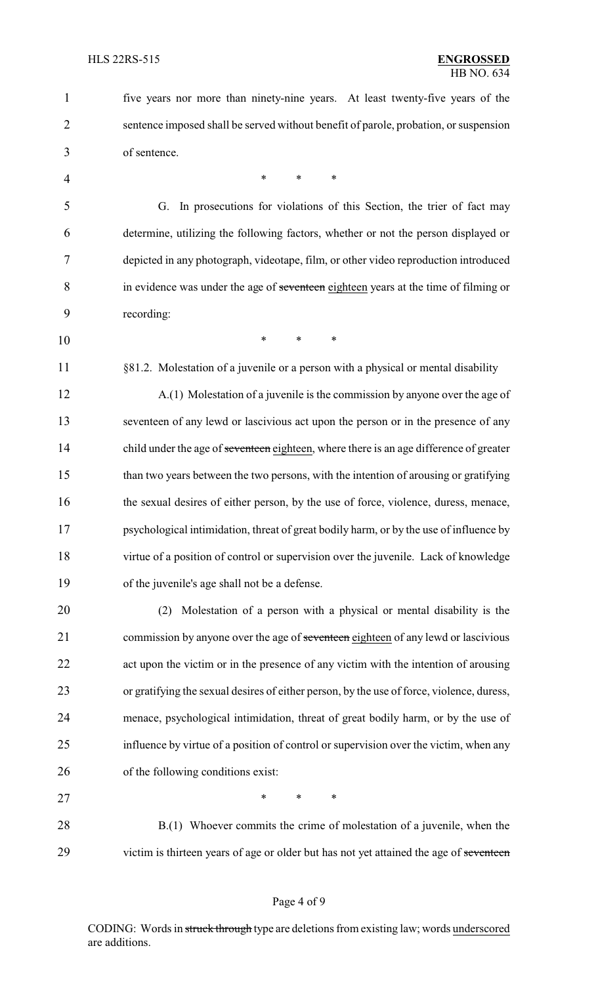five years nor more than ninety-nine years. At least twenty-five years of the sentence imposed shall be served without benefit of parole, probation, or suspension of sentence. 4 \* \* \* \* G. In prosecutions for violations of this Section, the trier of fact may determine, utilizing the following factors, whether or not the person displayed or depicted in any photograph, videotape, film, or other video reproduction introduced in evidence was under the age of seventeen eighteen years at the time of filming or recording: \* \* \* 11 §81.2. Molestation of a juvenile or a person with a physical or mental disability A.(1) Molestation of a juvenile is the commission by anyone over the age of seventeen of any lewd or lascivious act upon the person or in the presence of any 14 child under the age of seventeen eighteen, where there is an age difference of greater than two years between the two persons, with the intention of arousing or gratifying 16 the sexual desires of either person, by the use of force, violence, duress, menace, psychological intimidation, threat of great bodily harm, or by the use of influence by virtue of a position of control or supervision over the juvenile. Lack of knowledge of the juvenile's age shall not be a defense. (2) Molestation of a person with a physical or mental disability is the 21 commission by anyone over the age of seventeen eighteen of any lewd or lascivious act upon the victim or in the presence of any victim with the intention of arousing or gratifying the sexual desires of either person, by the use of force, violence, duress, menace, psychological intimidation, threat of great bodily harm, or by the use of influence by virtue of a position of control or supervision over the victim, when any of the following conditions exist: 27 \* \* \* \* 28 B.(1) Whoever commits the crime of molestation of a juvenile, when the 29 victim is thirteen years of age or older but has not yet attained the age of seventeen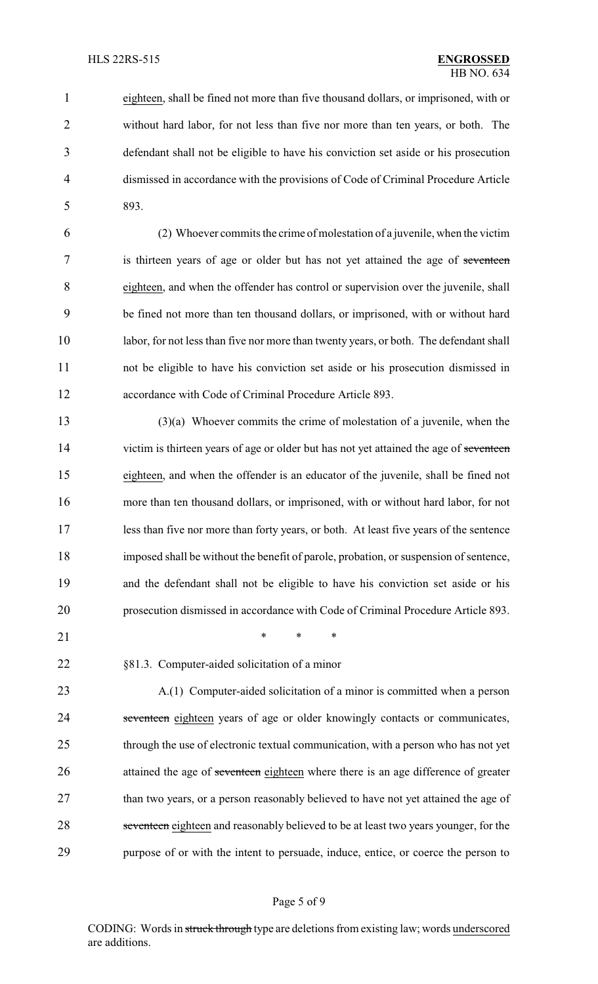eighteen, shall be fined not more than five thousand dollars, or imprisoned, with or without hard labor, for not less than five nor more than ten years, or both. The defendant shall not be eligible to have his conviction set aside or his prosecution dismissed in accordance with the provisions of Code of Criminal Procedure Article 893.

 (2) Whoever commits the crime of molestation of a juvenile, when the victim 7 is thirteen years of age or older but has not yet attained the age of seventeen eighteen, and when the offender has control or supervision over the juvenile, shall be fined not more than ten thousand dollars, or imprisoned, with or without hard labor, for not less than five nor more than twenty years, or both. The defendant shall not be eligible to have his conviction set aside or his prosecution dismissed in accordance with Code of Criminal Procedure Article 893.

 (3)(a) Whoever commits the crime of molestation of a juvenile, when the 14 victim is thirteen years of age or older but has not yet attained the age of seventeen eighteen, and when the offender is an educator of the juvenile, shall be fined not more than ten thousand dollars, or imprisoned, with or without hard labor, for not less than five nor more than forty years, or both. At least five years of the sentence imposed shall be without the benefit of parole, probation, or suspension of sentence, and the defendant shall not be eligible to have his conviction set aside or his prosecution dismissed in accordance with Code of Criminal Procedure Article 893.

21 \* \* \* \*

§81.3. Computer-aided solicitation of a minor

 A.(1) Computer-aided solicitation of a minor is committed when a person 24 seventeen eighteen years of age or older knowingly contacts or communicates, through the use of electronic textual communication, with a person who has not yet 26 attained the age of seventeen eighteen where there is an age difference of greater 27 than two years, or a person reasonably believed to have not yet attained the age of 28 seventeen eighteen and reasonably believed to be at least two years younger, for the purpose of or with the intent to persuade, induce, entice, or coerce the person to

### Page 5 of 9

CODING: Words in struck through type are deletions from existing law; words underscored are additions.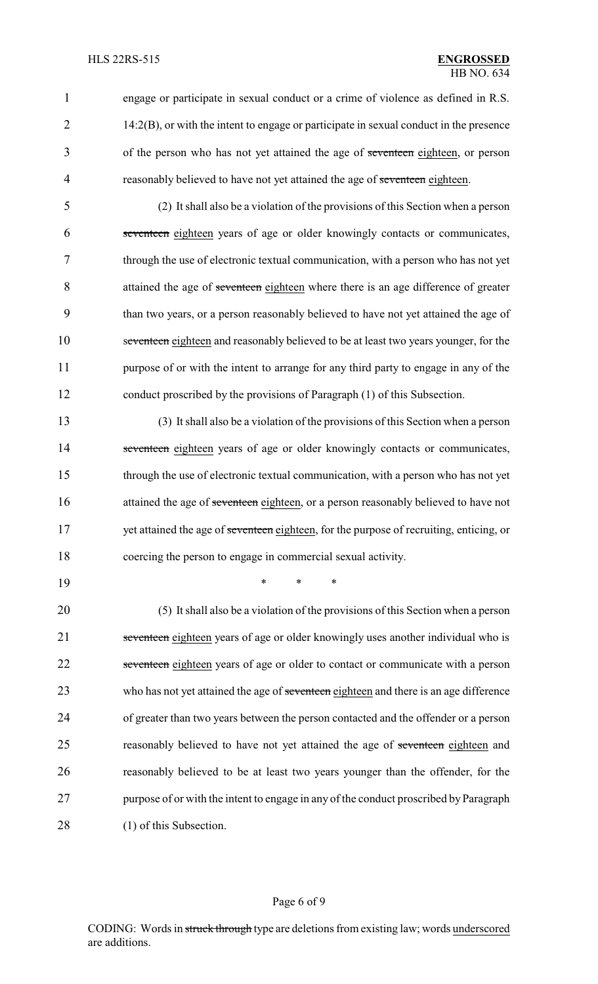1 engage or participate in sexual conduct or a crime of violence as defined in R.S. 2 14:2(B), or with the intent to engage or participate in sexual conduct in the presence 3 of the person who has not yet attained the age of seventeen eighteen, or person 4 reasonably believed to have not yet attained the age of seventeen eighteen.

 (2) It shall also be a violation of the provisions of this Section when a person seventeen eighteen years of age or older knowingly contacts or communicates, through the use of electronic textual communication, with a person who has not yet 8 attained the age of seventeen eighteen where there is an age difference of greater than two years, or a person reasonably believed to have not yet attained the age of seventeen eighteen and reasonably believed to be at least two years younger, for the 11 purpose of or with the intent to arrange for any third party to engage in any of the conduct proscribed by the provisions of Paragraph (1) of this Subsection.

13 (3) It shall also be a violation of the provisions of this Section when a person 14 seventeen eighteen years of age or older knowingly contacts or communicates, 15 through the use of electronic textual communication, with a person who has not yet 16 attained the age of seventeen eighteen, or a person reasonably believed to have not 17 yet attained the age of seventeen eighteen, for the purpose of recruiting, enticing, or 18 coercing the person to engage in commercial sexual activity.

19 \* \* \*

20 (5) It shall also be a violation of the provisions of this Section when a person 21 seventeen eighteen years of age or older knowingly uses another individual who is 22 seventeen eighteen years of age or older to contact or communicate with a person 23 who has not yet attained the age of seventeen eighteen and there is an age difference 24 of greater than two years between the person contacted and the offender or a person 25 reasonably believed to have not yet attained the age of seventeen eighteen and 26 reasonably believed to be at least two years younger than the offender, for the 27 purpose of or with the intent to engage in any of the conduct proscribed by Paragraph 28 (1) of this Subsection.

#### Page 6 of 9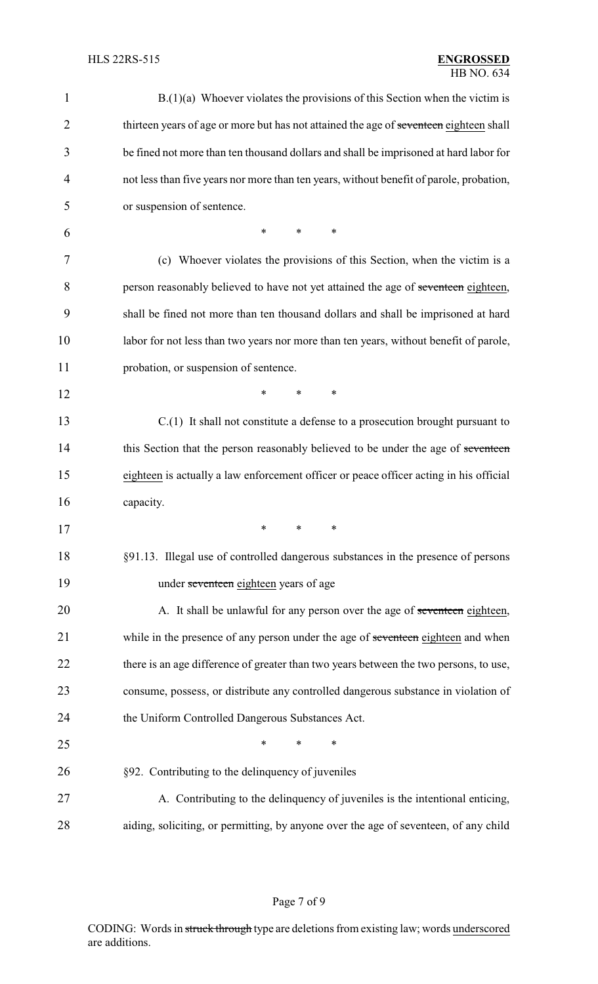| 1              | $B(1)(a)$ Whoever violates the provisions of this Section when the victim is            |
|----------------|-----------------------------------------------------------------------------------------|
| $\overline{2}$ | thirteen years of age or more but has not attained the age of seventeen eighteen shall  |
| 3              | be fined not more than ten thousand dollars and shall be imprisoned at hard labor for   |
| 4              | not less than five years nor more than ten years, without benefit of parole, probation, |
| 5              | or suspension of sentence.                                                              |
| 6              | $\ast$<br>$\ast$<br>$\ast$                                                              |
| 7              | (c) Whoever violates the provisions of this Section, when the victim is a               |
| 8              | person reasonably believed to have not yet attained the age of seventeen eighteen,      |
| 9              | shall be fined not more than ten thousand dollars and shall be imprisoned at hard       |
| 10             | labor for not less than two years nor more than ten years, without benefit of parole,   |
| 11             | probation, or suspension of sentence.                                                   |
| 12             | $\ast$<br>$\ast$<br>*                                                                   |
| 13             | $C(1)$ It shall not constitute a defense to a prosecution brought pursuant to           |
| 14             | this Section that the person reasonably believed to be under the age of seventeen       |
| 15             | eighteen is actually a law enforcement officer or peace officer acting in his official  |
| 16             | capacity.                                                                               |
| 17             | ∗<br>∗<br>∗                                                                             |
| 18             | §91.13. Illegal use of controlled dangerous substances in the presence of persons       |
| 19             | under seventeen eighteen years of age                                                   |
| 20             | A. It shall be unlawful for any person over the age of seventeen eighteen,              |
| 21             | while in the presence of any person under the age of seventeen eighteen and when        |
| 22             | there is an age difference of greater than two years between the two persons, to use,   |
| 23             | consume, possess, or distribute any controlled dangerous substance in violation of      |
| 24             | the Uniform Controlled Dangerous Substances Act.                                        |
| 25             | $\ast$<br>*<br>$\ast$                                                                   |
| 26             | §92. Contributing to the delinquency of juveniles                                       |
| 27             | A. Contributing to the delinquency of juveniles is the intentional enticing,            |
| 28             | aiding, soliciting, or permitting, by anyone over the age of seventeen, of any child    |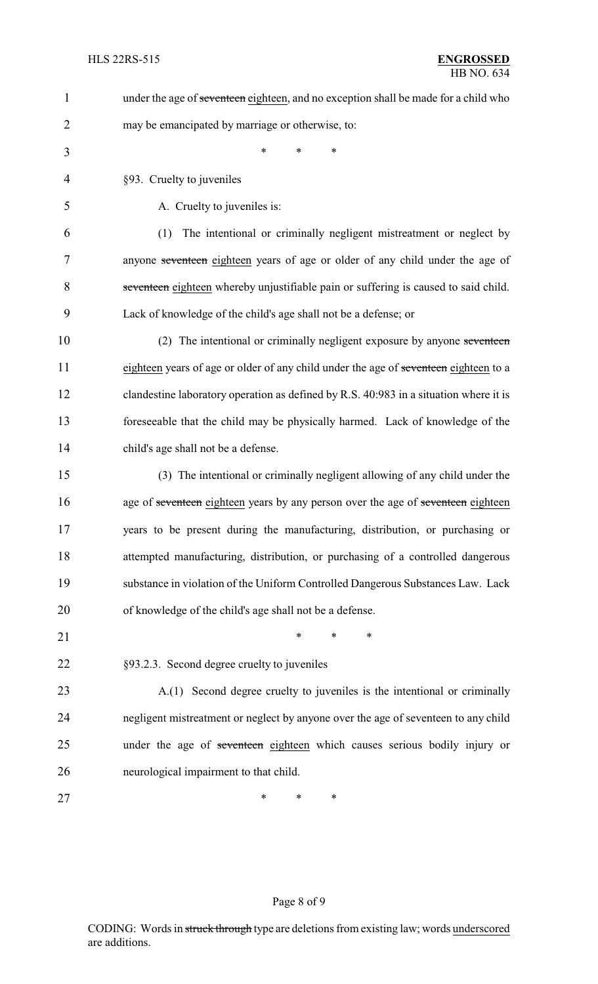| $\mathbf{1}$   | under the age of seventeen eighteen, and no exception shall be made for a child who   |
|----------------|---------------------------------------------------------------------------------------|
| $\overline{2}$ | may be emancipated by marriage or otherwise, to:                                      |
| 3              | $\ast$<br>*<br>$\ast$                                                                 |
| $\overline{4}$ | §93. Cruelty to juveniles                                                             |
| 5              | A. Cruelty to juveniles is:                                                           |
| 6              | The intentional or criminally negligent mistreatment or neglect by<br>(1)             |
| 7              | anyone seventeen eighteen years of age or older of any child under the age of         |
| 8              | seventeen eighteen whereby unjustifiable pain or suffering is caused to said child.   |
| 9              | Lack of knowledge of the child's age shall not be a defense; or                       |
| 10             | (2) The intentional or criminally negligent exposure by anyone seventeen              |
| 11             | eighteen years of age or older of any child under the age of seventeen eighteen to a  |
| 12             | clandestine laboratory operation as defined by R.S. 40:983 in a situation where it is |
| 13             | foreseeable that the child may be physically harmed. Lack of knowledge of the         |
| 14             | child's age shall not be a defense.                                                   |
| 15             | (3) The intentional or criminally negligent allowing of any child under the           |
| 16             | age of seventeen eighteen years by any person over the age of seventeen eighteen      |
| 17             | years to be present during the manufacturing, distribution, or purchasing or          |
| 18             | attempted manufacturing, distribution, or purchasing of a controlled dangerous        |
| 19             | substance in violation of the Uniform Controlled Dangerous Substances Law. Lack       |
| 20             | of knowledge of the child's age shall not be a defense.                               |
| 21             | $\ast$<br>*<br>*                                                                      |
| 22             | §93.2.3. Second degree cruelty to juveniles                                           |
| 23             | A.(1) Second degree cruelty to juveniles is the intentional or criminally             |
| 24             | negligent mistreatment or neglect by anyone over the age of seventeen to any child    |
| 25             | under the age of seventeen eighteen which causes serious bodily injury or             |
| 26             | neurological impairment to that child.                                                |
| 27             | *<br>*<br>∗                                                                           |
|                |                                                                                       |

# Page 8 of 9